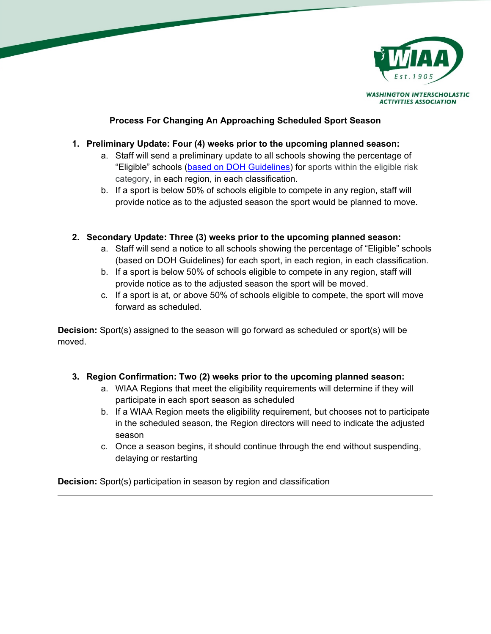

**ACTIVITIES ASSOCIATION** 

**Process For Changing An Approaching Scheduled Sport Season**

## **1. Preliminary Update: Four (4) weeks prior to the upcoming planned season:**

- a. Staff will send a preliminary update to all schools showing the percentage of "Eligible" schools [\(based on DOH Guidelines\)](https://docs.google.com/document/u/4/d/e/2PACX-1vQBoiz1UnhXtci0yuLS5ekxbIUiZiQyu7eHR2RovekTWHvxj-Gvh71hfzZW0ghd19bop3KZxjpy5Kg2/pub) for sports within the eligible risk category, in each region, in each classification.
- b. If a sport is below 50% of schools eligible to compete in any region, staff will provide notice as to the adjusted season the sport would be planned to move.

# **2. Secondary Update: Three (3) weeks prior to the upcoming planned season:**

- a. Staff will send a notice to all schools showing the percentage of "Eligible" schools (based on DOH Guidelines) for each sport, in each region, in each classification.
- b. If a sport is below 50% of schools eligible to compete in any region, staff will provide notice as to the adjusted season the sport will be moved.
- c. If a sport is at, or above 50% of schools eligible to compete, the sport will move forward as scheduled.

**Decision:** Sport(s) assigned to the season will go forward as scheduled or sport(s) will be moved.

# **3. Region Confirmation: Two (2) weeks prior to the upcoming planned season:**

- a. WIAA Regions that meet the eligibility requirements will determine if they will participate in each sport season as scheduled
- b. If a WIAA Region meets the eligibility requirement, but chooses not to participate in the scheduled season, the Region directors will need to indicate the adjusted season
- c. Once a season begins, it should continue through the end without suspending, delaying or restarting

**Decision:** Sport(s) participation in season by region and classification